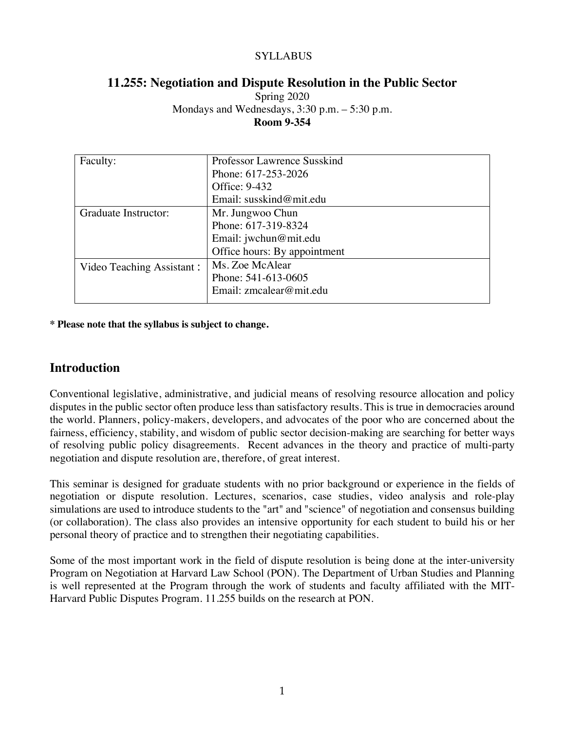### SYLLABUS

### **11.255: Negotiation and Dispute Resolution in the Public Sector**

Spring 2020 Mondays and Wednesdays, 3:30 p.m. – 5:30 p.m. **Room 9-354**

| Faculty:                  | Professor Lawrence Susskind  |
|---------------------------|------------------------------|
|                           | Phone: 617-253-2026          |
|                           | Office: 9-432                |
|                           | Email: susskind@mit.edu      |
| Graduate Instructor:      | Mr. Jungwoo Chun             |
|                           | Phone: 617-319-8324          |
|                           | Email: jwchun@mit.edu        |
|                           | Office hours: By appointment |
| Video Teaching Assistant: | Ms. Zoe McAlear              |
|                           | Phone: 541-613-0605          |
|                           | Email: zmcalear@mit.edu      |
|                           |                              |

**\* Please note that the syllabus is subject to change.**

## **Introduction**

Conventional legislative, administrative, and judicial means of resolving resource allocation and policy disputes in the public sector often produce less than satisfactory results. This is true in democracies around the world. Planners, policy-makers, developers, and advocates of the poor who are concerned about the fairness, efficiency, stability, and wisdom of public sector decision-making are searching for better ways of resolving public policy disagreements. Recent advances in the theory and practice of multi-party negotiation and dispute resolution are, therefore, of great interest.

This seminar is designed for graduate students with no prior background or experience in the fields of negotiation or dispute resolution. Lectures, scenarios, case studies, video analysis and role-play simulations are used to introduce students to the "art" and "science" of negotiation and consensus building (or collaboration). The class also provides an intensive opportunity for each student to build his or her personal theory of practice and to strengthen their negotiating capabilities.

Some of the most important work in the field of dispute resolution is being done at the inter-university Program on Negotiation at Harvard Law School (PON). The Department of Urban Studies and Planning is well represented at the Program through the work of students and faculty affiliated with the MIT-Harvard Public Disputes Program. 11.255 builds on the research at PON.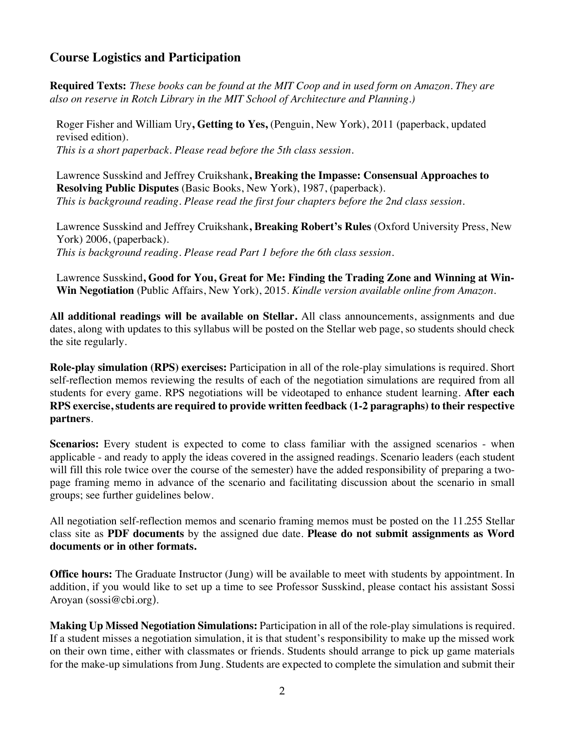## **Course Logistics and Participation**

**Required Texts:** *These books can be found at the MIT Coop and in used form on Amazon. They are also on reserve in Rotch Library in the MIT School of Architecture and Planning.)*

Roger Fisher and William Ury**, Getting to Yes,** (Penguin, New York), 2011 (paperback, updated revised edition). *This is a short paperback. Please read before the 5th class session.*

Lawrence Susskind and Jeffrey Cruikshank**, Breaking the Impasse: Consensual Approaches to Resolving Public Disputes** (Basic Books, New York), 1987, (paperback). *This is background reading. Please read the first four chapters before the 2nd class session.*

Lawrence Susskind and Jeffrey Cruikshank**, Breaking Robert's Rules** (Oxford University Press, New York) 2006, (paperback). *This is background reading. Please read Part 1 before the 6th class session.*

Lawrence Susskind**, Good for You, Great for Me: Finding the Trading Zone and Winning at Win-Win Negotiation** (Public Affairs, New York), 2015. *Kindle version available online from Amazon.*

**All additional readings will be available on Stellar.** All class announcements, assignments and due dates, along with updates to this syllabus will be posted on the Stellar web page, so students should check the site regularly.

**Role-play simulation (RPS) exercises:** Participation in all of the role-play simulations is required. Short self-reflection memos reviewing the results of each of the negotiation simulations are required from all students for every game. RPS negotiations will be videotaped to enhance student learning. **After each RPS exercise, students are required to provide written feedback (1-2 paragraphs) to their respective partners**.

**Scenarios:** Every student is expected to come to class familiar with the assigned scenarios - when applicable - and ready to apply the ideas covered in the assigned readings. Scenario leaders (each student will fill this role twice over the course of the semester) have the added responsibility of preparing a twopage framing memo in advance of the scenario and facilitating discussion about the scenario in small groups; see further guidelines below.

All negotiation self-reflection memos and scenario framing memos must be posted on the 11.255 Stellar class site as **PDF documents** by the assigned due date. **Please do not submit assignments as Word documents or in other formats.** 

**Office hours:** The Graduate Instructor (Jung) will be available to meet with students by appointment. In addition, if you would like to set up a time to see Professor Susskind, please contact his assistant Sossi Aroyan (sossi@cbi.org).

**Making Up Missed Negotiation Simulations:** Participation in all of the role-play simulations is required. If a student misses a negotiation simulation, it is that student's responsibility to make up the missed work on their own time, either with classmates or friends. Students should arrange to pick up game materials for the make-up simulations from Jung. Students are expected to complete the simulation and submit their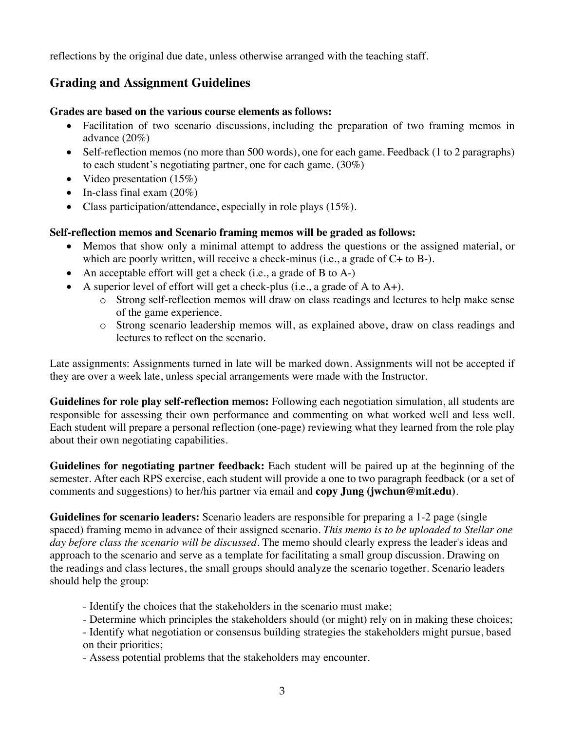reflections by the original due date, unless otherwise arranged with the teaching staff.

# **Grading and Assignment Guidelines**

#### **Grades are based on the various course elements as follows:**

- Facilitation of two scenario discussions, including the preparation of two framing memos in advance (20%)
- Self-reflection memos (no more than 500 words), one for each game. Feedback (1 to 2 paragraphs) to each student's negotiating partner, one for each game. (30%)
- Video presentation  $(15%)$
- In-class final exam  $(20\%)$
- Class participation/attendance, especially in role plays (15%).

#### **Self-reflection memos and Scenario framing memos will be graded as follows:**

- Memos that show only a minimal attempt to address the questions or the assigned material, or which are poorly written, will receive a check-minus (i.e., a grade of C+ to B-).
- An acceptable effort will get a check (i.e., a grade of B to A-)
- A superior level of effort will get a check-plus (i.e., a grade of A to  $A+$ ).
	- o Strong self-reflection memos will draw on class readings and lectures to help make sense of the game experience.
	- o Strong scenario leadership memos will, as explained above, draw on class readings and lectures to reflect on the scenario.

Late assignments: Assignments turned in late will be marked down. Assignments will not be accepted if they are over a week late, unless special arrangements were made with the Instructor.

**Guidelines for role play self-reflection memos:** Following each negotiation simulation, all students are responsible for assessing their own performance and commenting on what worked well and less well. Each student will prepare a personal reflection (one-page) reviewing what they learned from the role play about their own negotiating capabilities.

**Guidelines for negotiating partner feedback:** Each student will be paired up at the beginning of the semester. After each RPS exercise, each student will provide a one to two paragraph feedback (or a set of comments and suggestions) to her/his partner via email and **copy Jung (jwchun@mit.edu)**.

**Guidelines for scenario leaders:** Scenario leaders are responsible for preparing a 1-2 page (single spaced) framing memo in advance of their assigned scenario. *This memo is to be uploaded to Stellar one day before class the scenario will be discussed*. The memo should clearly express the leader's ideas and approach to the scenario and serve as a template for facilitating a small group discussion. Drawing on the readings and class lectures, the small groups should analyze the scenario together. Scenario leaders should help the group:

- Identify the choices that the stakeholders in the scenario must make;
- Determine which principles the stakeholders should (or might) rely on in making these choices;
- Identify what negotiation or consensus building strategies the stakeholders might pursue, based on their priorities;

- Assess potential problems that the stakeholders may encounter.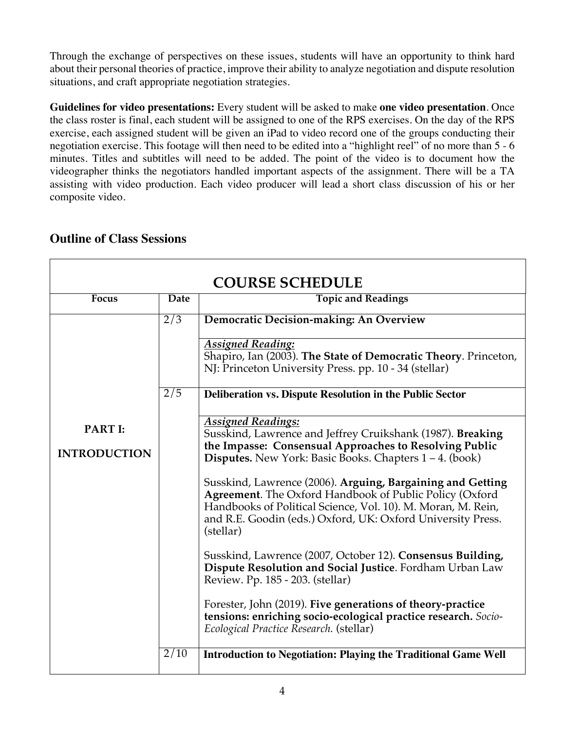Through the exchange of perspectives on these issues, students will have an opportunity to think hard about their personal theories of practice, improve their ability to analyze negotiation and dispute resolution situations, and craft appropriate negotiation strategies.

**Guidelines for video presentations:** Every student will be asked to make **one video presentation**. Once the class roster is final, each student will be assigned to one of the RPS exercises. On the day of the RPS exercise, each assigned student will be given an iPad to video record one of the groups conducting their negotiation exercise. This footage will then need to be edited into a "highlight reel" of no more than 5 - 6 minutes. Titles and subtitles will need to be added. The point of the video is to document how the videographer thinks the negotiators handled important aspects of the assignment. There will be a TA assisting with video production. Each video producer will lead a short class discussion of his or her composite video.

| <b>COURSE SCHEDULE</b> |              |                                                                                                                                                                                                                                                                          |
|------------------------|--------------|--------------------------------------------------------------------------------------------------------------------------------------------------------------------------------------------------------------------------------------------------------------------------|
| Focus                  | Date         | <b>Topic and Readings</b>                                                                                                                                                                                                                                                |
|                        | $\sqrt{2/3}$ | Democratic Decision-making: An Overview                                                                                                                                                                                                                                  |
|                        |              | <b>Assigned Reading:</b><br>Shapiro, Ian (2003). The State of Democratic Theory. Princeton,<br>NJ: Princeton University Press. pp. 10 - 34 (stellar)                                                                                                                     |
|                        | $\sqrt{2/5}$ | Deliberation vs. Dispute Resolution in the Public Sector                                                                                                                                                                                                                 |
| <b>PART I:</b>         |              | <b>Assigned Readings:</b><br>Susskind, Lawrence and Jeffrey Cruikshank (1987). Breaking                                                                                                                                                                                  |
| <b>INTRODUCTION</b>    |              | the Impasse: Consensual Approaches to Resolving Public<br><b>Disputes.</b> New York: Basic Books. Chapters $1 - 4$ . (book)                                                                                                                                              |
|                        |              | Susskind, Lawrence (2006). Arguing, Bargaining and Getting<br><b>Agreement.</b> The Oxford Handbook of Public Policy (Oxford<br>Handbooks of Political Science, Vol. 10). M. Moran, M. Rein,<br>and R.E. Goodin (eds.) Oxford, UK: Oxford University Press.<br>(stellar) |
|                        |              | Susskind, Lawrence (2007, October 12). Consensus Building,<br>Dispute Resolution and Social Justice. Fordham Urban Law<br>Review. Pp. 185 - 203. (stellar)                                                                                                               |
|                        |              | Forester, John (2019). Five generations of theory-practice<br>tensions: enriching socio-ecological practice research. Socio-<br>Ecological Practice Research. (stellar)                                                                                                  |
|                        | 2/10         | <b>Introduction to Negotiation: Playing the Traditional Game Well</b>                                                                                                                                                                                                    |

# **Outline of Class Sessions**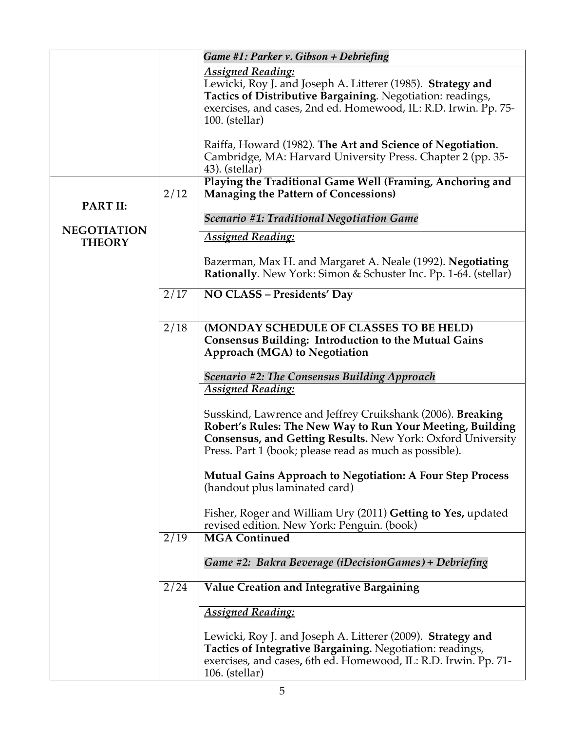|                    |      | Game #1: Parker v. Gibson + Debriefing                                                                                                                                                                                                           |
|--------------------|------|--------------------------------------------------------------------------------------------------------------------------------------------------------------------------------------------------------------------------------------------------|
|                    |      | <b>Assigned Reading:</b><br>Lewicki, Roy J. and Joseph A. Litterer (1985). Strategy and<br>Tactics of Distributive Bargaining. Negotiation: readings,<br>exercises, and cases, 2nd ed. Homewood, IL: R.D. Irwin. Pp. 75-<br>$100.$ (stellar)     |
|                    |      | Raiffa, Howard (1982). The Art and Science of Negotiation.<br>Cambridge, MA: Harvard University Press. Chapter 2 (pp. 35-<br>43). (stellar)                                                                                                      |
| <b>PART II:</b>    | 2/12 | Playing the Traditional Game Well (Framing, Anchoring and<br><b>Managing the Pattern of Concessions)</b>                                                                                                                                         |
| <b>NEGOTIATION</b> |      | Scenario #1: Traditional Negotiation Game                                                                                                                                                                                                        |
| <b>THEORY</b>      |      | <b>Assigned Reading:</b>                                                                                                                                                                                                                         |
|                    |      | Bazerman, Max H. and Margaret A. Neale (1992). Negotiating<br>Rationally. New York: Simon & Schuster Inc. Pp. 1-64. (stellar)                                                                                                                    |
|                    | 2/17 | NO CLASS - Presidents' Day                                                                                                                                                                                                                       |
|                    | 2/18 | (MONDAY SCHEDULE OF CLASSES TO BE HELD)<br><b>Consensus Building: Introduction to the Mutual Gains</b><br><b>Approach (MGA) to Negotiation</b><br>Scenario #2: The Consensus Building Approach                                                   |
|                    |      | <b>Assigned Reading:</b>                                                                                                                                                                                                                         |
|                    |      | Susskind, Lawrence and Jeffrey Cruikshank (2006). Breaking<br>Robert's Rules: The New Way to Run Your Meeting, Building<br>Consensus, and Getting Results. New York: Oxford University<br>Press. Part 1 (book; please read as much as possible). |
|                    |      | <b>Mutual Gains Approach to Negotiation: A Four Step Process</b><br>(handout plus laminated card)                                                                                                                                                |
|                    |      | Fisher, Roger and William Ury (2011) Getting to Yes, updated<br>revised edition. New York: Penguin. (book)                                                                                                                                       |
|                    | 2/19 | <b>MGA Continued</b>                                                                                                                                                                                                                             |
|                    |      | Game #2: Bakra Beverage (iDecisionGames) + Debriefing                                                                                                                                                                                            |
|                    | 2/24 | <b>Value Creation and Integrative Bargaining</b>                                                                                                                                                                                                 |
|                    |      | <b>Assigned Reading:</b>                                                                                                                                                                                                                         |
|                    |      | Lewicki, Roy J. and Joseph A. Litterer (2009). Strategy and<br>Tactics of Integrative Bargaining. Negotiation: readings,<br>exercises, and cases, 6th ed. Homewood, IL: R.D. Irwin. Pp. 71-<br>$106.$ (stellar)                                  |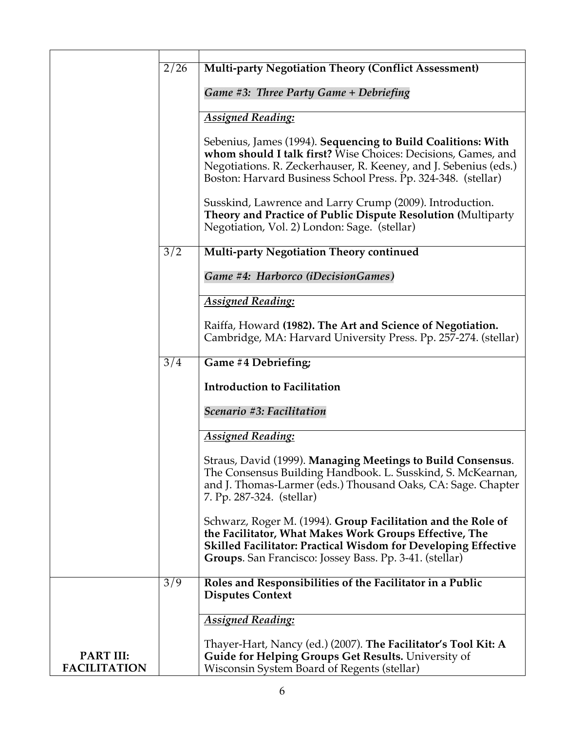|                                         | 2/26 | <b>Multi-party Negotiation Theory (Conflict Assessment)</b>                                                                                                                                                                                                        |
|-----------------------------------------|------|--------------------------------------------------------------------------------------------------------------------------------------------------------------------------------------------------------------------------------------------------------------------|
|                                         |      | Game #3: Three Party Game + Debriefing                                                                                                                                                                                                                             |
|                                         |      | <b>Assigned Reading:</b>                                                                                                                                                                                                                                           |
|                                         |      | Sebenius, James (1994). Sequencing to Build Coalitions: With<br>whom should I talk first? Wise Choices: Decisions, Games, and<br>Negotiations. R. Zeckerhauser, R. Keeney, and J. Sebenius (eds.)<br>Boston: Harvard Business School Press. Pp. 324-348. (stellar) |
|                                         |      | Susskind, Lawrence and Larry Crump (2009). Introduction.<br>Theory and Practice of Public Dispute Resolution (Multiparty<br>Negotiation, Vol. 2) London: Sage. (stellar)                                                                                           |
|                                         | 3/2  | <b>Multi-party Negotiation Theory continued</b>                                                                                                                                                                                                                    |
|                                         |      | Game #4: Harborco (iDecisionGames)                                                                                                                                                                                                                                 |
|                                         |      | <b>Assigned Reading:</b>                                                                                                                                                                                                                                           |
|                                         |      | Raiffa, Howard (1982). The Art and Science of Negotiation.<br>Cambridge, MA: Harvard University Press. Pp. 257-274. (stellar)                                                                                                                                      |
|                                         | 3/4  | Game #4 Debriefing;                                                                                                                                                                                                                                                |
|                                         |      | <b>Introduction to Facilitation</b>                                                                                                                                                                                                                                |
|                                         |      | Scenario #3: Facilitation                                                                                                                                                                                                                                          |
|                                         |      | <b>Assigned Reading:</b>                                                                                                                                                                                                                                           |
|                                         |      | Straus, David (1999). Managing Meetings to Build Consensus.<br>The Consensus Building Handbook. L. Susskind, S. McKearnan,<br>and J. Thomas-Larmer (eds.) Thousand Oaks, CA: Sage. Chapter<br>7. Pp. 287-324. (stellar)                                            |
|                                         |      | Schwarz, Roger M. (1994). Group Facilitation and the Role of<br>the Facilitator, What Makes Work Groups Effective, The<br><b>Skilled Facilitator: Practical Wisdom for Developing Effective</b><br>Groups. San Francisco: Jossey Bass. Pp. 3-41. (stellar)         |
|                                         | 3/9  | Roles and Responsibilities of the Facilitator in a Public<br><b>Disputes Context</b>                                                                                                                                                                               |
|                                         |      | <b>Assigned Reading:</b>                                                                                                                                                                                                                                           |
| <b>PART III:</b><br><b>FACILITATION</b> |      | Thayer-Hart, Nancy (ed.) (2007). The Facilitator's Tool Kit: A<br>Guide for Helping Groups Get Results. University of<br>Wisconsin System Board of Regents (stellar)                                                                                               |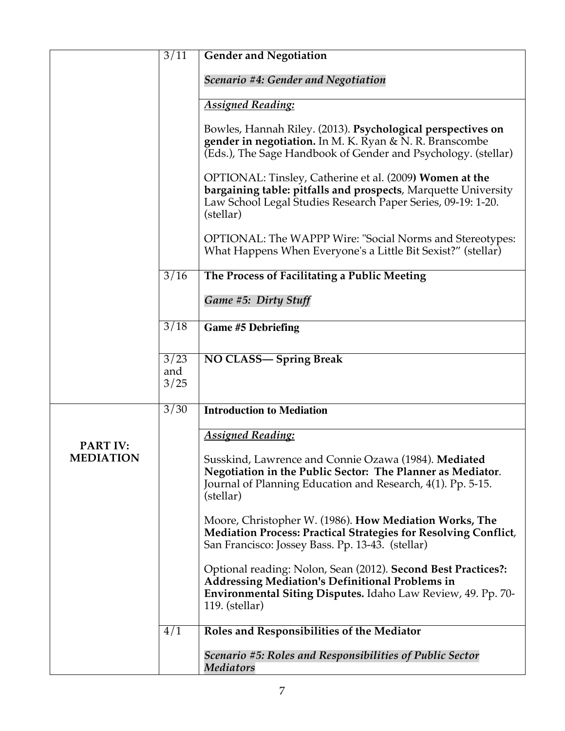|                                     | 3/11                | <b>Gender and Negotiation</b>                                                                                                                                                                                      |
|-------------------------------------|---------------------|--------------------------------------------------------------------------------------------------------------------------------------------------------------------------------------------------------------------|
|                                     |                     |                                                                                                                                                                                                                    |
|                                     |                     | Scenario #4: Gender and Negotiation                                                                                                                                                                                |
|                                     |                     | <b>Assigned Reading:</b>                                                                                                                                                                                           |
|                                     |                     | Bowles, Hannah Riley. (2013). Psychological perspectives on<br>gender in negotiation. In M. K. Ryan & N. R. Branscombe<br>(Eds.), The Sage Handbook of Gender and Psychology. (stellar)                            |
|                                     |                     | OPTIONAL: Tinsley, Catherine et al. (2009) Women at the<br>bargaining table: pitfalls and prospects, Marquette University<br>Law School Legal Studies Research Paper Series, 09-19: 1-20.<br>(stellar)             |
|                                     |                     | OPTIONAL: The WAPPP Wire: "Social Norms and Stereotypes:<br>What Happens When Everyone's a Little Bit Sexist?" (stellar)                                                                                           |
|                                     | 3/16                | The Process of Facilitating a Public Meeting                                                                                                                                                                       |
|                                     |                     | Game #5: Dirty Stuff                                                                                                                                                                                               |
|                                     | 3/18                | <b>Game #5 Debriefing</b>                                                                                                                                                                                          |
|                                     |                     |                                                                                                                                                                                                                    |
|                                     | 3/23<br>and<br>3/25 | NO CLASS-Spring Break                                                                                                                                                                                              |
|                                     | 3/30                | <b>Introduction to Mediation</b>                                                                                                                                                                                   |
|                                     |                     | <b>Assigned Reading:</b>                                                                                                                                                                                           |
| <b>PART IV:</b><br><b>MEDIATION</b> |                     | Susskind, Lawrence and Connie Ozawa (1984). Mediated<br>Negotiation in the Public Sector: The Planner as Mediator.<br>Journal of Planning Education and Research, 4(1). Pp. 5-15.<br>(stellar)                     |
|                                     |                     | Moore, Christopher W. (1986). How Mediation Works, The<br><b>Mediation Process: Practical Strategies for Resolving Conflict,</b><br>San Francisco: Jossey Bass. Pp. 13-43. (stellar)                               |
|                                     |                     | Optional reading: Nolon, Sean (2012). Second Best Practices?:<br><b>Addressing Mediation's Definitional Problems in</b><br><b>Environmental Siting Disputes.</b> Idaho Law Review, 49. Pp. 70-<br>$119.$ (stellar) |
|                                     | 4/1                 | Roles and Responsibilities of the Mediator                                                                                                                                                                         |
|                                     |                     | Scenario #5: Roles and Responsibilities of Public Sector<br><b>Mediators</b>                                                                                                                                       |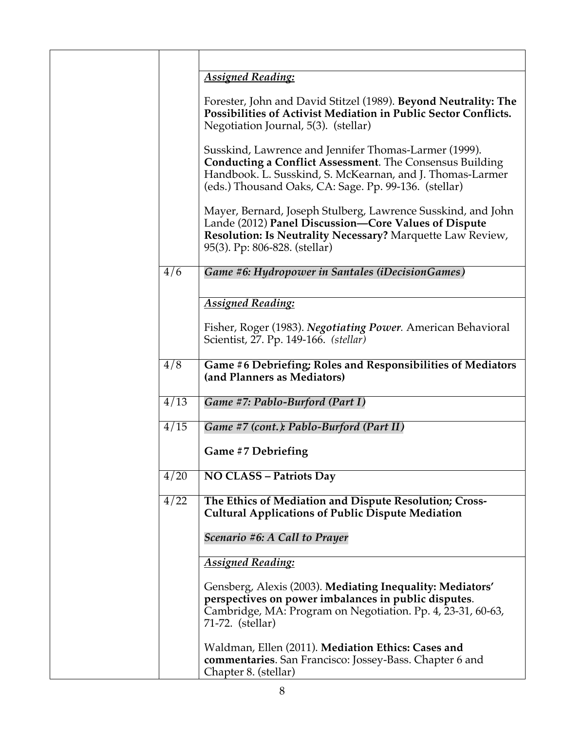|                  | <b>Assigned Reading:</b>                                                                                                                                                                                                                       |
|------------------|------------------------------------------------------------------------------------------------------------------------------------------------------------------------------------------------------------------------------------------------|
|                  | Forester, John and David Stitzel (1989). Beyond Neutrality: The<br>Possibilities of Activist Mediation in Public Sector Conflicts.<br>Negotiation Journal, 5(3). (stellar)                                                                     |
|                  | Susskind, Lawrence and Jennifer Thomas-Larmer (1999).<br><b>Conducting a Conflict Assessment.</b> The Consensus Building<br>Handbook. L. Susskind, S. McKearnan, and J. Thomas-Larmer<br>(eds.) Thousand Oaks, CA: Sage. Pp. 99-136. (stellar) |
|                  | Mayer, Bernard, Joseph Stulberg, Lawrence Susskind, and John<br>Lande (2012) Panel Discussion-Core Values of Dispute<br>Resolution: Is Neutrality Necessary? Marquette Law Review,<br>95(3). Pp: 806-828. (stellar)                            |
| 4/6              | Game #6: Hydropower in Santales (iDecisionGames)                                                                                                                                                                                               |
|                  | <b>Assigned Reading:</b>                                                                                                                                                                                                                       |
|                  | Fisher, Roger (1983). Negotiating Power. American Behavioral<br>Scientist, 27. Pp. 149-166. (stellar)                                                                                                                                          |
| $\overline{4/8}$ | Game #6 Debriefing; Roles and Responsibilities of Mediators<br>(and Planners as Mediators)                                                                                                                                                     |
| 4/13             | Game #7: Pablo-Burford (Part I)                                                                                                                                                                                                                |
| 4/15             | Game #7 (cont.): Pablo-Burford (Part II)                                                                                                                                                                                                       |
|                  | Game #7 Debriefing                                                                                                                                                                                                                             |
| 4/20             | <b>NO CLASS - Patriots Day</b>                                                                                                                                                                                                                 |
| 4/22             | The Ethics of Mediation and Dispute Resolution; Cross-<br><b>Cultural Applications of Public Dispute Mediation</b>                                                                                                                             |
|                  | Scenario #6: A Call to Prayer                                                                                                                                                                                                                  |
|                  | <b>Assigned Reading:</b>                                                                                                                                                                                                                       |
|                  | Gensberg, Alexis (2003). Mediating Inequality: Mediators'<br>perspectives on power imbalances in public disputes.<br>Cambridge, MA: Program on Negotiation. Pp. 4, 23-31, 60-63,<br>71-72. (stellar)                                           |
|                  | Waldman, Ellen (2011). Mediation Ethics: Cases and<br>commentaries. San Francisco: Jossey-Bass. Chapter 6 and<br>Chapter 8. (stellar)                                                                                                          |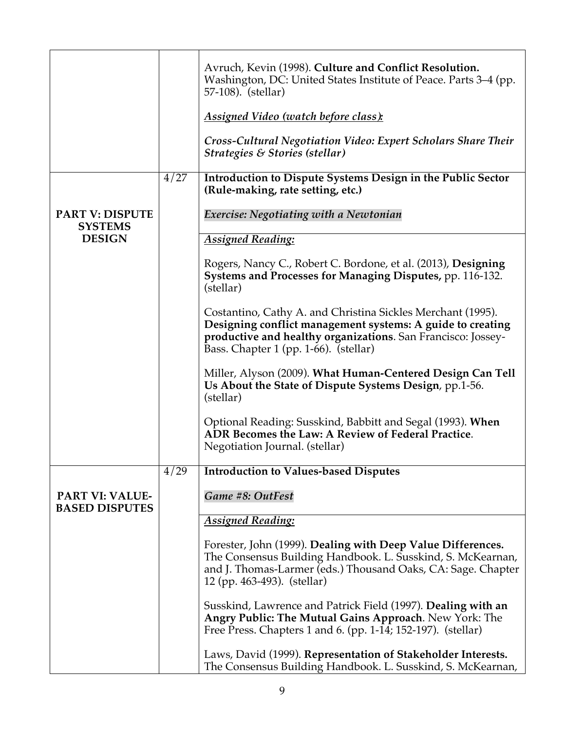|                                                 |      | Avruch, Kevin (1998). Culture and Conflict Resolution.<br>Washington, DC: United States Institute of Peace. Parts 3-4 (pp.<br>57-108). (stellar)<br><u>Assigned Video (watch before class):</u><br>Cross-Cultural Negotiation Video: Expert Scholars Share Their<br>Strategies & Stories (stellar) |
|-------------------------------------------------|------|----------------------------------------------------------------------------------------------------------------------------------------------------------------------------------------------------------------------------------------------------------------------------------------------------|
| <b>PART V: DISPUTE</b>                          | 4/27 | Introduction to Dispute Systems Design in the Public Sector<br>(Rule-making, rate setting, etc.)<br>Exercise: Negotiating with a Newtonian                                                                                                                                                         |
| <b>SYSTEMS</b>                                  |      |                                                                                                                                                                                                                                                                                                    |
| <b>DESIGN</b>                                   |      | <b>Assigned Reading:</b>                                                                                                                                                                                                                                                                           |
|                                                 |      | Rogers, Nancy C., Robert C. Bordone, et al. (2013), Designing<br>Systems and Processes for Managing Disputes, pp. 116-132.<br>(stellar)                                                                                                                                                            |
|                                                 |      | Costantino, Cathy A. and Christina Sickles Merchant (1995).<br>Designing conflict management systems: A guide to creating<br>productive and healthy organizations. San Francisco: Jossey-<br>Bass. Chapter 1 (pp. 1-66). (stellar)                                                                 |
|                                                 |      | Miller, Alyson (2009). What Human-Centered Design Can Tell<br>Us About the State of Dispute Systems Design, pp.1-56.<br>(stellar)                                                                                                                                                                  |
|                                                 |      | Optional Reading: Susskind, Babbitt and Segal (1993). When<br>ADR Becomes the Law: A Review of Federal Practice.<br>Negotiation Journal. (stellar)                                                                                                                                                 |
|                                                 | 4/29 | <b>Introduction to Values-based Disputes</b>                                                                                                                                                                                                                                                       |
| <b>PART VI: VALUE-</b><br><b>BASED DISPUTES</b> |      | Game #8: OutFest                                                                                                                                                                                                                                                                                   |
|                                                 |      | <b>Assigned Reading:</b>                                                                                                                                                                                                                                                                           |
|                                                 |      | Forester, John (1999). Dealing with Deep Value Differences.<br>The Consensus Building Handbook. L. Susskind, S. McKearnan,<br>and J. Thomas-Larmer (eds.) Thousand Oaks, CA: Sage. Chapter<br>12 (pp. 463-493). (stellar)                                                                          |
|                                                 |      | Susskind, Lawrence and Patrick Field (1997). Dealing with an<br>Angry Public: The Mutual Gains Approach. New York: The<br>Free Press. Chapters 1 and 6. (pp. 1-14; 152-197). (stellar)                                                                                                             |
|                                                 |      | Laws, David (1999). Representation of Stakeholder Interests.<br>The Consensus Building Handbook. L. Susskind, S. McKearnan,                                                                                                                                                                        |